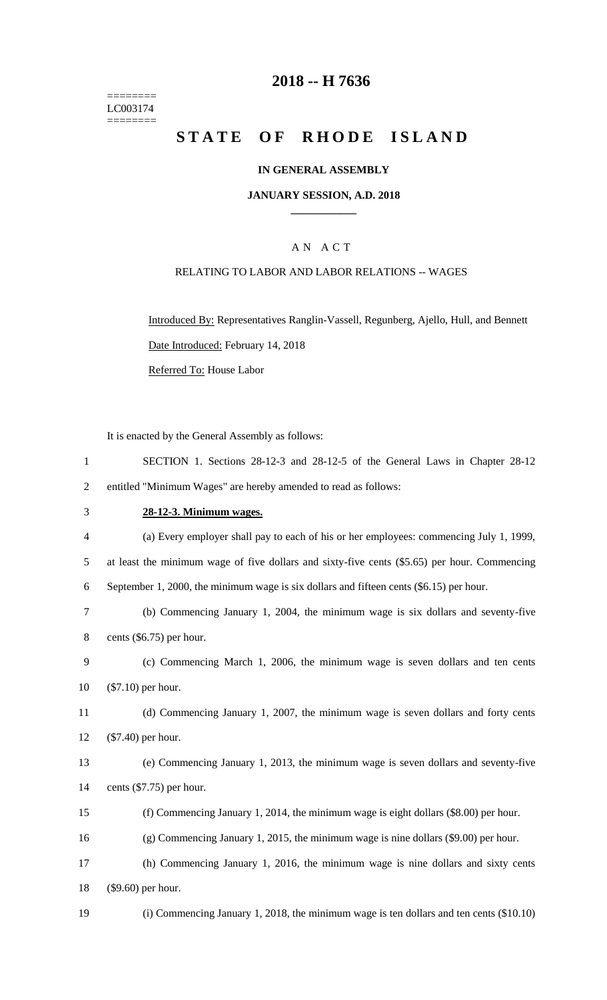======== LC003174 ========

### **-- H 7636**

## **STATE OF RHODE ISLAND**

### **IN GENERAL ASSEMBLY**

### **JANUARY SESSION, A.D. 2018 \_\_\_\_\_\_\_\_\_\_\_\_**

### A N A C T

### RELATING TO LABOR AND LABOR RELATIONS -- WAGES

Introduced By: Representatives Ranglin-Vassell, Regunberg, Ajello, Hull, and Bennett Date Introduced: February 14, 2018

Referred To: House Labor

It is enacted by the General Assembly as follows:

| SECTION 1. Sections 28-12-3 and 28-12-5 of the General Laws in Chapter 28-12 |  |  |  |  |  |  |
|------------------------------------------------------------------------------|--|--|--|--|--|--|
| entitled "Minimum Wages" are hereby amended to read as follows:              |  |  |  |  |  |  |

### **28-12-3. Minimum wages.**

 (a) Every employer shall pay to each of his or her employees: commencing July 1, 1999, at least the minimum wage of five dollars and sixty-five cents (\$5.65) per hour. Commencing September 1, 2000, the minimum wage is six dollars and fifteen cents (\$6.15) per hour. (b) Commencing January 1, 2004, the minimum wage is six dollars and seventy-five cents (\$6.75) per hour. (c) Commencing March 1, 2006, the minimum wage is seven dollars and ten cents (\$7.10) per hour. (d) Commencing January 1, 2007, the minimum wage is seven dollars and forty cents (\$7.40) per hour. (e) Commencing January 1, 2013, the minimum wage is seven dollars and seventy-five cents (\$7.75) per hour. (f) Commencing January 1, 2014, the minimum wage is eight dollars (\$8.00) per hour. (g) Commencing January 1, 2015, the minimum wage is nine dollars (\$9.00) per hour. (h) Commencing January 1, 2016, the minimum wage is nine dollars and sixty cents (\$9.60) per hour.

(i) Commencing January 1, 2018, the minimum wage is ten dollars and ten cents (\$10.10)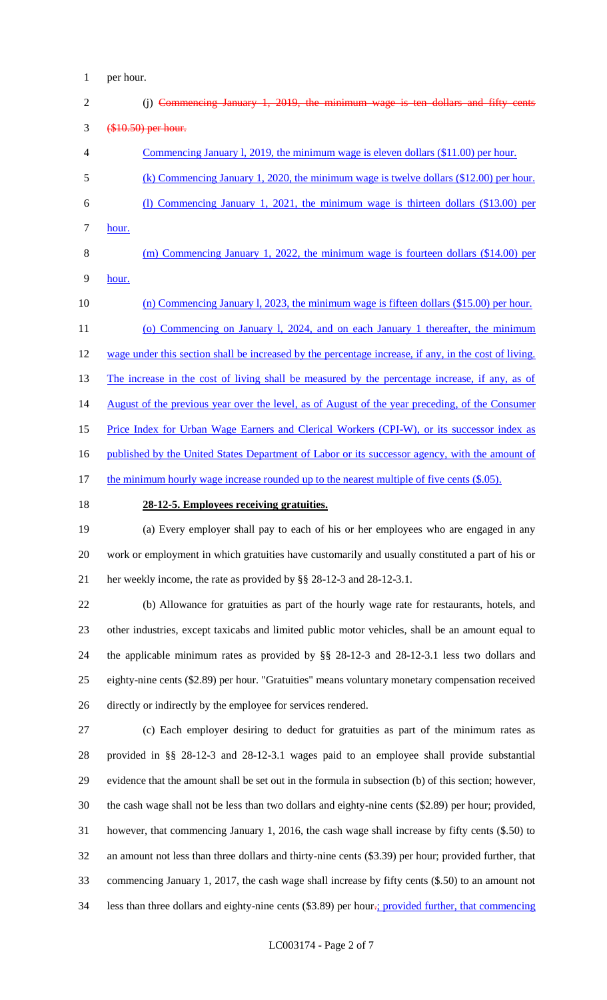per hour.

| $\overline{2}$ | (i) Commencing January 1, 2019, the minimum wage is ten dollars and fifty cents                       |
|----------------|-------------------------------------------------------------------------------------------------------|
| 3              | (\$10.50) per hour.                                                                                   |
| 4              | Commencing January 1, 2019, the minimum wage is eleven dollars (\$11.00) per hour.                    |
| 5              | (k) Commencing January 1, 2020, the minimum wage is twelve dollars $(\$12.00)$ per hour.              |
| 6              | (1) Commencing January 1, 2021, the minimum wage is thirteen dollars (\$13.00) per                    |
| 7              | hour.                                                                                                 |
| 8              | $(m)$ Commencing January 1, 2022, the minimum wage is fourteen dollars $(\$14.00)$ per                |
| 9              | hour.                                                                                                 |
| 10             | (n) Commencing January 1, 2023, the minimum wage is fifteen dollars $(\$15.00)$ per hour.             |
| 11             | (o) Commencing on January 1, 2024, and on each January 1 thereafter, the minimum                      |
| 12             | wage under this section shall be increased by the percentage increase, if any, in the cost of living. |
| 13             | The increase in the cost of living shall be measured by the percentage increase, if any, as of        |
| 14             | August of the previous year over the level, as of August of the year preceding, of the Consumer       |
| 15             | Price Index for Urban Wage Earners and Clerical Workers (CPI-W), or its successor index as            |
| 16             | published by the United States Department of Labor or its successor agency, with the amount of        |
| 17             | the minimum hourly wage increase rounded up to the nearest multiple of five cents (\$.05).            |
| 18             | 28-12-5. Employees receiving gratuities.                                                              |

 (a) Every employer shall pay to each of his or her employees who are engaged in any work or employment in which gratuities have customarily and usually constituted a part of his or her weekly income, the rate as provided by §§ 28-12-3 and 28-12-3.1.

 (b) Allowance for gratuities as part of the hourly wage rate for restaurants, hotels, and other industries, except taxicabs and limited public motor vehicles, shall be an amount equal to the applicable minimum rates as provided by §§ 28-12-3 and 28-12-3.1 less two dollars and eighty-nine cents (\$2.89) per hour. "Gratuities" means voluntary monetary compensation received directly or indirectly by the employee for services rendered.

 (c) Each employer desiring to deduct for gratuities as part of the minimum rates as provided in §§ 28-12-3 and 28-12-3.1 wages paid to an employee shall provide substantial evidence that the amount shall be set out in the formula in subsection (b) of this section; however, the cash wage shall not be less than two dollars and eighty-nine cents (\$2.89) per hour; provided, however, that commencing January 1, 2016, the cash wage shall increase by fifty cents (\$.50) to an amount not less than three dollars and thirty-nine cents (\$3.39) per hour; provided further, that commencing January 1, 2017, the cash wage shall increase by fifty cents (\$.50) to an amount not 34 less than three dollars and eighty-nine cents (\$3.89) per hour.; provided further, that commencing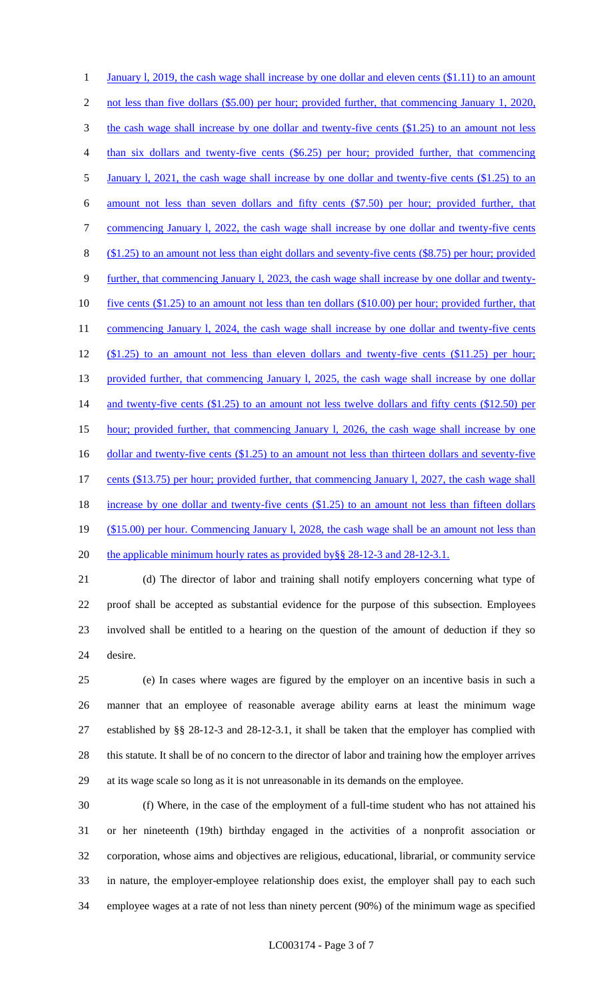1 January 1, 2019, the cash wage shall increase by one dollar and eleven cents (\$1.11) to an amount 2 not less than five dollars (\$5.00) per hour; provided further, that commencing January 1, 2020, 3 the cash wage shall increase by one dollar and twenty-five cents (\$1.25) to an amount not less than six dollars and twenty-five cents (\$6.25) per hour; provided further, that commencing 5 January 1, 2021, the cash wage shall increase by one dollar and twenty-five cents (\$1.25) to an amount not less than seven dollars and fifty cents (\$7.50) per hour; provided further, that 7 commencing January 1, 2022, the cash wage shall increase by one dollar and twenty-five cents (\$1.25) to an amount not less than eight dollars and seventy-five cents (\$8.75) per hour; provided further, that commencing January l, 2023, the cash wage shall increase by one dollar and twenty- five cents (\$1.25) to an amount not less than ten dollars (\$10.00) per hour; provided further, that 11 commencing January 1, 2024, the cash wage shall increase by one dollar and twenty-five cents (\$1.25) to an amount not less than eleven dollars and twenty-five cents (\$11.25) per hour; 13 provided further, that commencing January 1, 2025, the cash wage shall increase by one dollar 14 and twenty-five cents (\$1.25) to an amount not less twelve dollars and fifty cents (\$12.50) per hour; provided further, that commencing January l, 2026, the cash wage shall increase by one 16 dollar and twenty-five cents (\$1.25) to an amount not less than thirteen dollars and seventy-five cents (\$13.75) per hour; provided further, that commencing January l, 2027, the cash wage shall 18 increase by one dollar and twenty-five cents (\$1.25) to an amount not less than fifteen dollars 19 (\$15.00) per hour. Commencing January 1, 2028, the cash wage shall be an amount not less than 20 the applicable minimum hourly rates as provided by §§ 28-12-3 and 28-12-3.1.

 (d) The director of labor and training shall notify employers concerning what type of proof shall be accepted as substantial evidence for the purpose of this subsection. Employees involved shall be entitled to a hearing on the question of the amount of deduction if they so desire.

 (e) In cases where wages are figured by the employer on an incentive basis in such a manner that an employee of reasonable average ability earns at least the minimum wage established by §§ 28-12-3 and 28-12-3.1, it shall be taken that the employer has complied with this statute. It shall be of no concern to the director of labor and training how the employer arrives at its wage scale so long as it is not unreasonable in its demands on the employee.

 (f) Where, in the case of the employment of a full-time student who has not attained his or her nineteenth (19th) birthday engaged in the activities of a nonprofit association or corporation, whose aims and objectives are religious, educational, librarial, or community service in nature, the employer-employee relationship does exist, the employer shall pay to each such employee wages at a rate of not less than ninety percent (90%) of the minimum wage as specified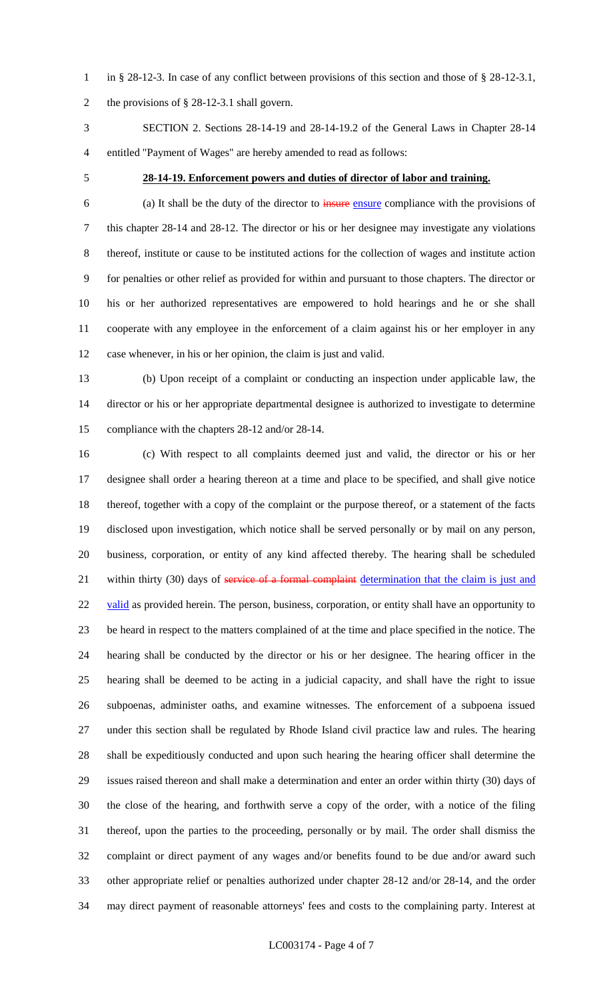in § 28-12-3. In case of any conflict between provisions of this section and those of § 28-12-3.1, the provisions of § 28-12-3.1 shall govern.

 SECTION 2. Sections 28-14-19 and 28-14-19.2 of the General Laws in Chapter 28-14 entitled "Payment of Wages" are hereby amended to read as follows:

### **28-14-19. Enforcement powers and duties of director of labor and training.**

 (a) It shall be the duty of the director to insure ensure compliance with the provisions of this chapter 28-14 and 28-12. The director or his or her designee may investigate any violations thereof, institute or cause to be instituted actions for the collection of wages and institute action for penalties or other relief as provided for within and pursuant to those chapters. The director or his or her authorized representatives are empowered to hold hearings and he or she shall cooperate with any employee in the enforcement of a claim against his or her employer in any case whenever, in his or her opinion, the claim is just and valid.

 (b) Upon receipt of a complaint or conducting an inspection under applicable law, the director or his or her appropriate departmental designee is authorized to investigate to determine compliance with the chapters 28-12 and/or 28-14.

 (c) With respect to all complaints deemed just and valid, the director or his or her designee shall order a hearing thereon at a time and place to be specified, and shall give notice thereof, together with a copy of the complaint or the purpose thereof, or a statement of the facts disclosed upon investigation, which notice shall be served personally or by mail on any person, business, corporation, or entity of any kind affected thereby. The hearing shall be scheduled 21 within thirty (30) days of service of a formal complaint determination that the claim is just and 22 valid as provided herein. The person, business, corporation, or entity shall have an opportunity to be heard in respect to the matters complained of at the time and place specified in the notice. The hearing shall be conducted by the director or his or her designee. The hearing officer in the hearing shall be deemed to be acting in a judicial capacity, and shall have the right to issue subpoenas, administer oaths, and examine witnesses. The enforcement of a subpoena issued under this section shall be regulated by Rhode Island civil practice law and rules. The hearing shall be expeditiously conducted and upon such hearing the hearing officer shall determine the issues raised thereon and shall make a determination and enter an order within thirty (30) days of the close of the hearing, and forthwith serve a copy of the order, with a notice of the filing thereof, upon the parties to the proceeding, personally or by mail. The order shall dismiss the complaint or direct payment of any wages and/or benefits found to be due and/or award such other appropriate relief or penalties authorized under chapter 28-12 and/or 28-14, and the order may direct payment of reasonable attorneys' fees and costs to the complaining party. Interest at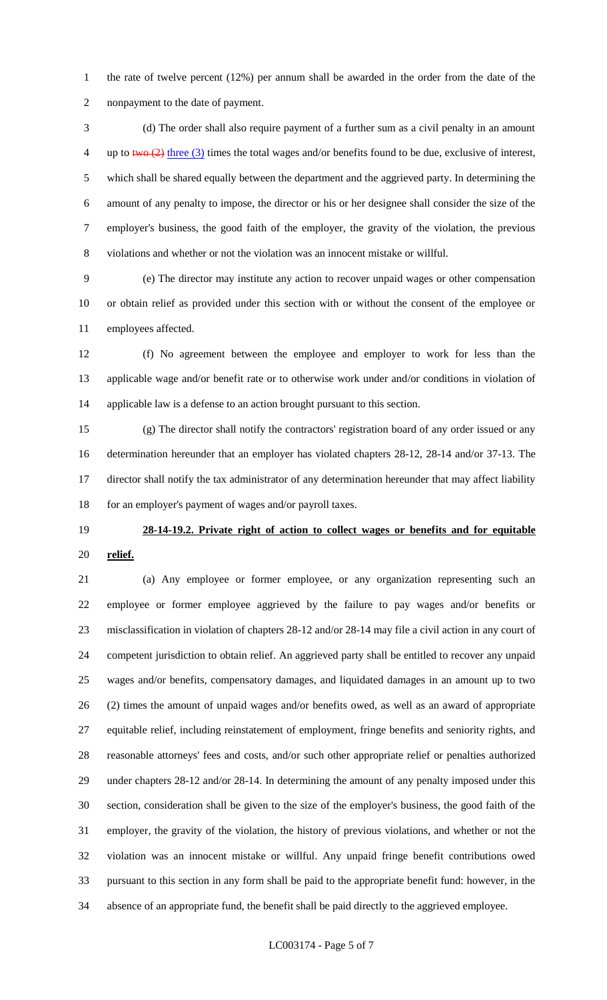the rate of twelve percent (12%) per annum shall be awarded in the order from the date of the nonpayment to the date of payment.

 (d) The order shall also require payment of a further sum as a civil penalty in an amount 4 up to two  $(2)$  three (3) times the total wages and/or benefits found to be due, exclusive of interest, which shall be shared equally between the department and the aggrieved party. In determining the amount of any penalty to impose, the director or his or her designee shall consider the size of the employer's business, the good faith of the employer, the gravity of the violation, the previous violations and whether or not the violation was an innocent mistake or willful.

 (e) The director may institute any action to recover unpaid wages or other compensation or obtain relief as provided under this section with or without the consent of the employee or employees affected.

 (f) No agreement between the employee and employer to work for less than the applicable wage and/or benefit rate or to otherwise work under and/or conditions in violation of applicable law is a defense to an action brought pursuant to this section.

 (g) The director shall notify the contractors' registration board of any order issued or any determination hereunder that an employer has violated chapters 28-12, 28-14 and/or 37-13. The director shall notify the tax administrator of any determination hereunder that may affect liability 18 for an employer's payment of wages and/or payroll taxes.

# **28-14-19.2. Private right of action to collect wages or benefits and for equitable relief.**

 (a) Any employee or former employee, or any organization representing such an employee or former employee aggrieved by the failure to pay wages and/or benefits or misclassification in violation of chapters 28-12 and/or 28-14 may file a civil action in any court of competent jurisdiction to obtain relief. An aggrieved party shall be entitled to recover any unpaid wages and/or benefits, compensatory damages, and liquidated damages in an amount up to two (2) times the amount of unpaid wages and/or benefits owed, as well as an award of appropriate equitable relief, including reinstatement of employment, fringe benefits and seniority rights, and reasonable attorneys' fees and costs, and/or such other appropriate relief or penalties authorized under chapters 28-12 and/or 28-14. In determining the amount of any penalty imposed under this section, consideration shall be given to the size of the employer's business, the good faith of the employer, the gravity of the violation, the history of previous violations, and whether or not the violation was an innocent mistake or willful. Any unpaid fringe benefit contributions owed pursuant to this section in any form shall be paid to the appropriate benefit fund: however, in the absence of an appropriate fund, the benefit shall be paid directly to the aggrieved employee.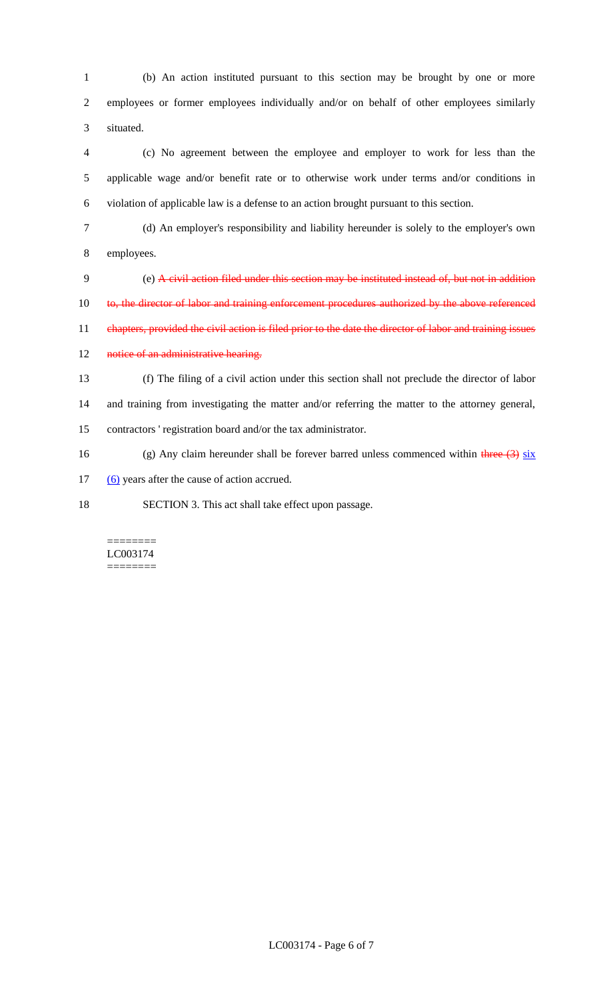1 (b) An action instituted pursuant to this section may be brought by one or more 2 employees or former employees individually and/or on behalf of other employees similarly 3 situated.

4 (c) No agreement between the employee and employer to work for less than the 5 applicable wage and/or benefit rate or to otherwise work under terms and/or conditions in 6 violation of applicable law is a defense to an action brought pursuant to this section.

7 (d) An employer's responsibility and liability hereunder is solely to the employer's own 8 employees.

9 (e) A civil action filed under this section may be instituted instead of, but not in addition 10 to, the director of labor and training enforcement procedures authorized by the above referenced 11 chapters, provided the civil action is filed prior to the date the director of labor and training issues

12 notice of an administrative hearing.

13 (f) The filing of a civil action under this section shall not preclude the director of labor 14 and training from investigating the matter and/or referring the matter to the attorney general, 15 contractors ' registration board and/or the tax administrator.

16 (g) Any claim hereunder shall be forever barred unless commenced within three  $(3)$  six

17 (6) years after the cause of action accrued.

18 SECTION 3. This act shall take effect upon passage.

### ======== LC003174 ========